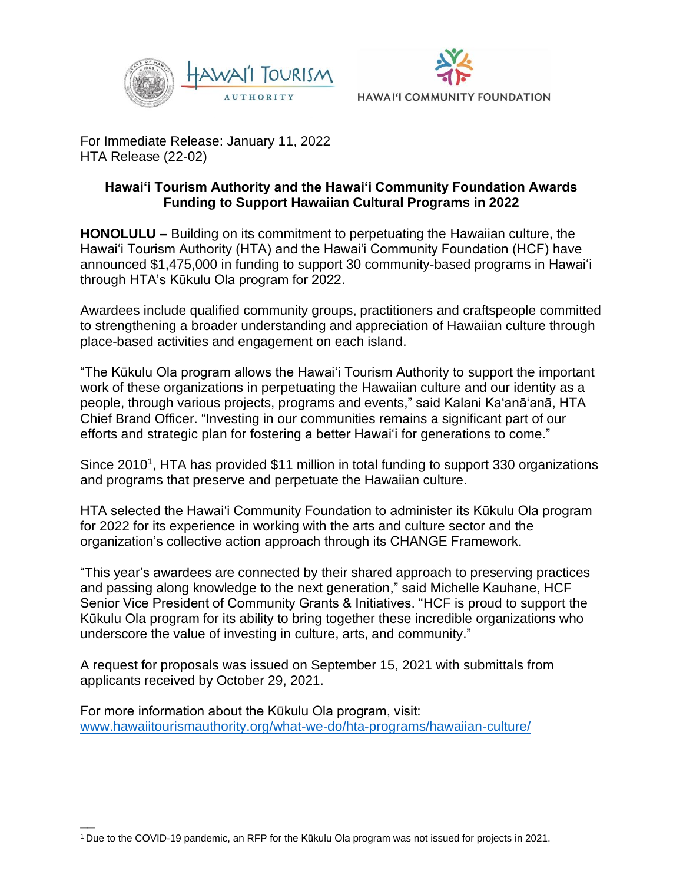



For Immediate Release: January 11, 2022 HTA Release (22-02)

## **Hawai'i Tourism Authority and the Hawai'i Community Foundation Awards Funding to Support Hawaiian Cultural Programs in 2022**

**HONOLULU –** Building on its commitment to perpetuating the Hawaiian culture, the Hawai'i Tourism Authority (HTA) and the Hawai'i Community Foundation (HCF) have announced \$1,475,000 in funding to support 30 community-based programs in Hawai'i through HTA's Kūkulu Ola program for 2022.

Awardees include qualified community groups, practitioners and craftspeople committed to strengthening a broader understanding and appreciation of Hawaiian culture through place-based activities and engagement on each island.

"The Kūkulu Ola program allows the Hawai'i Tourism Authority to support the important work of these organizations in perpetuating the Hawaiian culture and our identity as a people, through various projects, programs and events," said Kalani Ka'anā'anā, HTA Chief Brand Officer. "Investing in our communities remains a significant part of our efforts and strategic plan for fostering a better Hawai'i for generations to come."

Since 2010<sup>1</sup>, HTA has provided \$11 million in total funding to support 330 organizations and programs that preserve and perpetuate the Hawaiian culture.

HTA selected the Hawai'i Community Foundation to administer its Kūkulu Ola program for 2022 for its experience in working with the arts and culture sector and the organization's collective action approach through its CHANGE Framework.

"This year's awardees are connected by their shared approach to preserving practices and passing along knowledge to the next generation," said Michelle Kauhane, HCF Senior Vice President of Community Grants & Initiatives. "HCF is proud to support the Kūkulu Ola program for its ability to bring together these incredible organizations who underscore the value of investing in culture, arts, and community."

A request for proposals was issued on September 15, 2021 with submittals from applicants received by October 29, 2021.

For more information about the Kūkulu Ola program, visit: [www.hawaiitourismauthority.org/what-we-do/hta-programs/hawaiian-culture/](http://www.hawaiitourismauthority.org/what-we-do/hta-programs/hawaiian-culture/)

 $\overline{\phantom{a}}$ 

<sup>1</sup>Due to the COVID-19 pandemic, an RFP for the Kūkulu Ola program was not issued for projects in 2021.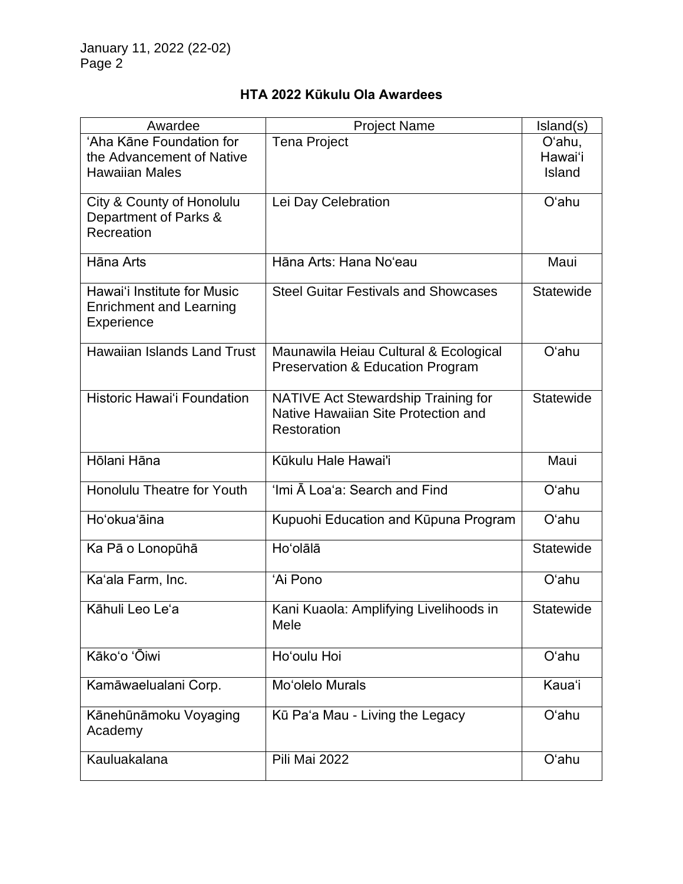|  |  |  | HTA 2022 Kūkulu Ola Awardees |
|--|--|--|------------------------------|
|--|--|--|------------------------------|

| Awardee                                                                            | <b>Project Name</b>                                                                       | Island(s)                   |
|------------------------------------------------------------------------------------|-------------------------------------------------------------------------------------------|-----------------------------|
| 'Aha Kāne Foundation for<br>the Advancement of Native<br><b>Hawaiian Males</b>     | <b>Tena Project</b>                                                                       | O'ahu,<br>Hawai'i<br>Island |
| City & County of Honolulu<br>Department of Parks &<br>Recreation                   | Lei Day Celebration                                                                       | O'ahu                       |
| Hāna Arts                                                                          | Hāna Arts: Hana No'eau                                                                    | Maui                        |
| Hawai'i Institute for Music<br><b>Enrichment and Learning</b><br><b>Experience</b> | <b>Steel Guitar Festivals and Showcases</b>                                               | <b>Statewide</b>            |
| <b>Hawaiian Islands Land Trust</b>                                                 | Maunawila Heiau Cultural & Ecological<br>Preservation & Education Program                 | O'ahu                       |
| <b>Historic Hawai'i Foundation</b>                                                 | NATIVE Act Stewardship Training for<br>Native Hawaiian Site Protection and<br>Restoration | Statewide                   |
| Hōlani Hāna                                                                        | Kūkulu Hale Hawai'i                                                                       | Maui                        |
| <b>Honolulu Theatre for Youth</b>                                                  | 'Imi A Loa'a: Search and Find                                                             | O'ahu                       |
| Hoʻokua'āina                                                                       | Kupuohi Education and Kūpuna Program                                                      | O'ahu                       |
| Ka Pā o Lonopūhā                                                                   | Ho'olālā                                                                                  | Statewide                   |
| Ka'ala Farm, Inc.                                                                  | 'Ai Pono                                                                                  | O'ahu                       |
| Kāhuli Leo Le'a                                                                    | Kani Kuaola: Amplifying Livelihoods in<br>Mele                                            | <b>Statewide</b>            |
| Kākoʻo 'Ōiwi                                                                       | Ho'oulu Hoi                                                                               | O'ahu                       |
| Kamāwaelualani Corp.                                                               | Mo'olelo Murals                                                                           | Kaua'i                      |
| Kānehūnāmoku Voyaging<br>Academy                                                   | Kū Pa'a Mau - Living the Legacy                                                           | O'ahu                       |
| Kauluakalana                                                                       | Pili Mai 2022                                                                             | O'ahu                       |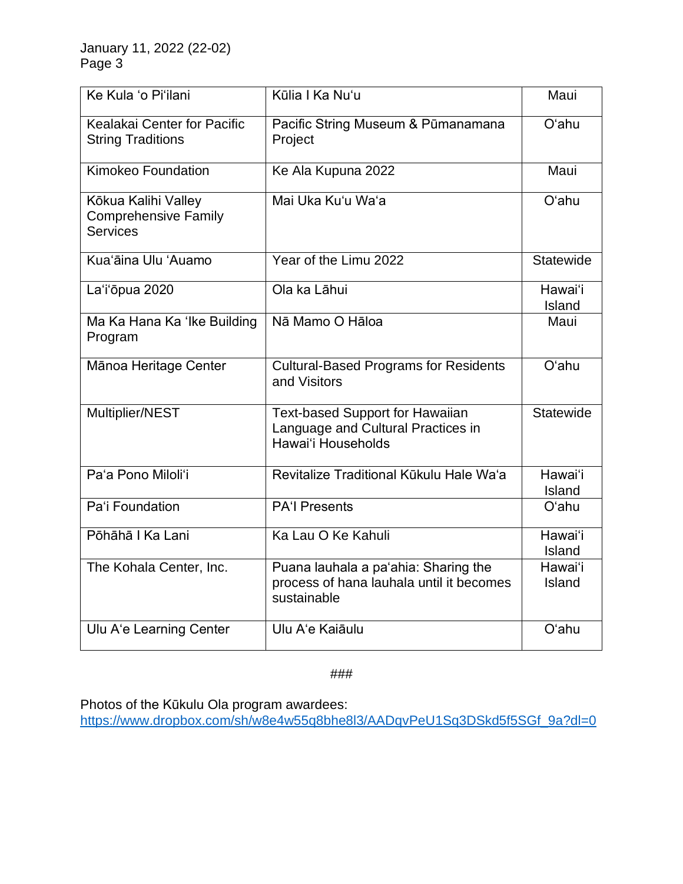January 11, 2022 (22-02) Page 3

| Ke Kula 'o Pi'ilani                                                   | Kūlia I Ka Nu'u                                                                                    | Maui              |
|-----------------------------------------------------------------------|----------------------------------------------------------------------------------------------------|-------------------|
| Kealakai Center for Pacific<br><b>String Traditions</b>               | Pacific String Museum & Pūmanamana<br>Project                                                      | O'ahu             |
| <b>Kimokeo Foundation</b>                                             | Ke Ala Kupuna 2022                                                                                 | Maui              |
| Kōkua Kalihi Valley<br><b>Comprehensive Family</b><br><b>Services</b> | Mai Uka Ku'u Wa'a                                                                                  | O'ahu             |
| Kua'āina Ulu 'Auamo                                                   | Year of the Limu 2022                                                                              | Statewide         |
| La'i'ōpua 2020                                                        | Ola ka Lāhui                                                                                       | Hawai'i<br>Island |
| Ma Ka Hana Ka 'Ike Building<br>Program                                | Nā Mamo O Hāloa                                                                                    | Maui              |
| Mānoa Heritage Center                                                 | <b>Cultural-Based Programs for Residents</b><br>and Visitors                                       | O'ahu             |
| Multiplier/NEST                                                       | <b>Text-based Support for Hawaiian</b><br>Language and Cultural Practices in<br>Hawai'i Households | <b>Statewide</b>  |
| Pa'a Pono Miloli'i                                                    | Revitalize Traditional Kūkulu Hale Wa'a                                                            | Hawai'i<br>Island |
| Pa'i Foundation                                                       | <b>PA'l Presents</b>                                                                               | O'ahu             |
| Pōhāhā   Ka Lani                                                      | Ka Lau O Ke Kahuli                                                                                 | Hawai'i<br>Island |
| The Kohala Center, Inc.                                               | Puana lauhala a pa'ahia: Sharing the<br>process of hana lauhala until it becomes<br>sustainable    | Hawai'i<br>Island |
| Ulu A'e Learning Center                                               | Ulu A'e Kaiāulu                                                                                    | O'ahu             |

###

Photos of the Kūkulu Ola program awardees: [https://www.dropbox.com/sh/w8e4w55q8bhe8l3/AADqvPeU1Sq3DSkd5f5SGf\\_9a?dl=0](https://nam11.safelinks.protection.outlook.com/?url=https%3A%2F%2Fwww.dropbox.com%2Fsh%2Fw8e4w55q8bhe8l3%2FAADqvPeU1Sq3DSkd5f5SGf_9a%3Fdl%3D0&data=04%7C01%7Cerin.khan%40anthologygroup.com%7C728c91b9dc254515a76608d9d0a1fc8d%7C0e7558ffacd54b0286566e61c570cbb8%7C0%7C0%7C637770218442010137%7CUnknown%7CTWFpbGZsb3d8eyJWIjoiMC4wLjAwMDAiLCJQIjoiV2luMzIiLCJBTiI6Ik1haWwiLCJXVCI6Mn0%3D%7C2000&sdata=3BfGKN6C1mro6S4emJbOvxog3JIScdI1fQkj635eraQ%3D&reserved=0)